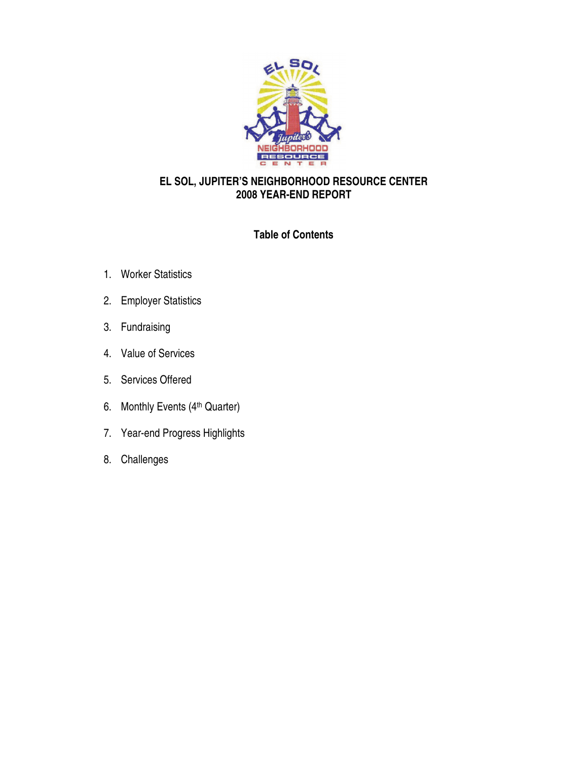

# **EL SOL, JUPITER'S NEIGHBORHOOD RESOURCE CENTER 2008 YEAR-END REPORT**

# **Table of Contents**

- 1. Worker Statistics
- 2. Employer Statistics
- 3. Fundraising
- 4. Value of Services
- 5. Services Offered
- 6. Monthly Events (4th Quarter)
- 7. Year-end Progress Highlights
- 8. Challenges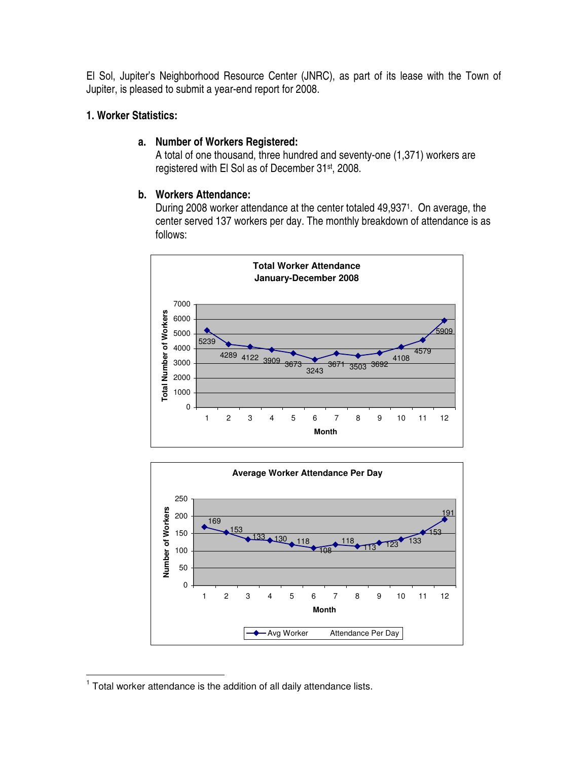El Sol, Jupiter's Neighborhood Resource Center (JNRC), as part of its lease with the Town of Jupiter, is pleased to submit a year-end report for 2008.

### **1. Worker Statistics:**

### **a. Number of Workers Registered:**

A total of one thousand, three hundred and seventy-one (1,371) workers are registered with El Sol as of December 31st, 2008.

#### **b. Workers Attendance:**

During 2008 worker attendance at the center totaled 49,937<sup>1</sup> . On average, the center served 137 workers per day. The monthly breakdown of attendance is as follows:





 $1$  Total worker attendance is the addition of all daily attendance lists.

 $\overline{a}$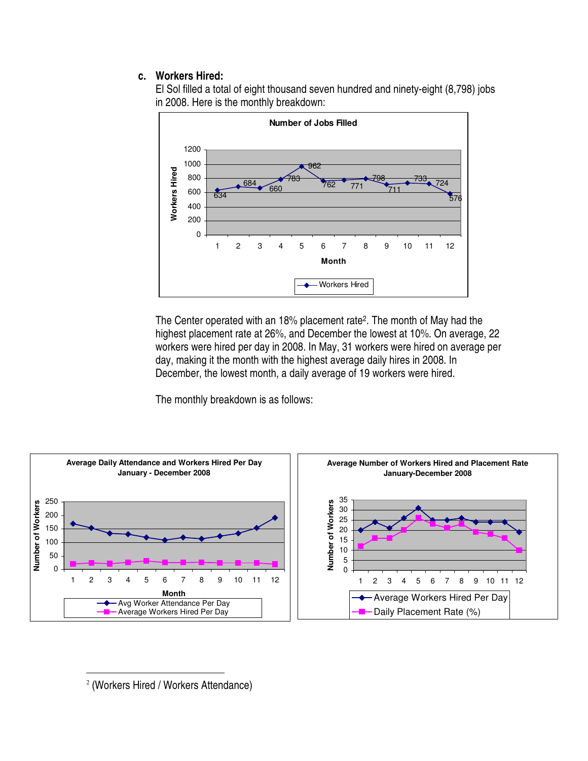# **c. Workers Hired:**

El Sol filled a total of eight thousand seven hundred and ninety-eight (8,798) jobs in 2008. Here is the monthly breakdown:



The Center operated with an 18% placement rate<sup>2</sup> . The month of May had the highest placement rate at 26%, and December the lowest at 10%. On average, 22 workers were hired per day in 2008. In May, 31 workers were hired on average per day, making it the month with the highest average daily hires in 2008. In December, the lowest month, a daily average of 19 workers were hired.

The monthly breakdown is as follows:



2 (Workers Hired / Workers Attendance)

 $\overline{a}$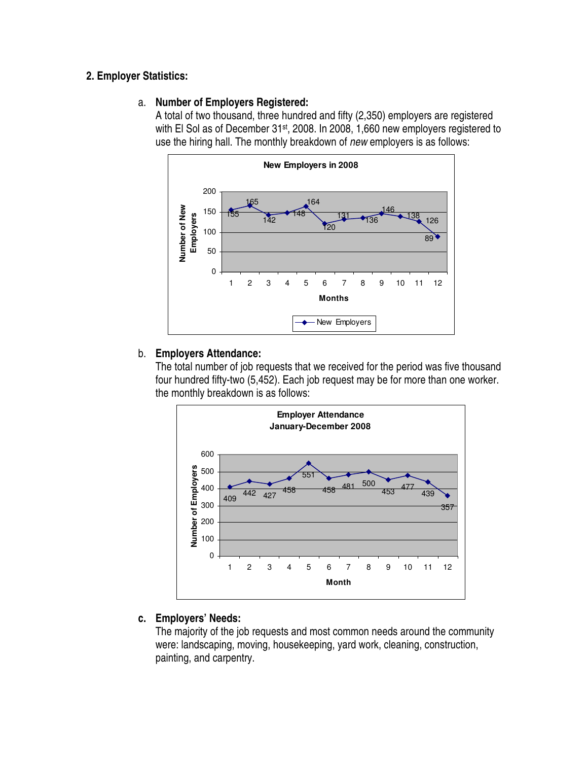# **2. Employer Statistics:**

## a. **Number of Employers Registered:**

A total of two thousand, three hundred and fifty (2,350) employers are registered with El Sol as of December 31<sup>st</sup>, 2008. In 2008, 1,660 new employers registered to use the hiring hall. The monthly breakdown of new employers is as follows:



# b. **Employers Attendance:**

The total number of job requests that we received for the period was five thousand four hundred fifty-two (5,452). Each job request may be for more than one worker. the monthly breakdown is as follows:



# **c. Employers' Needs:**

The majority of the job requests and most common needs around the community were: landscaping, moving, housekeeping, yard work, cleaning, construction, painting, and carpentry.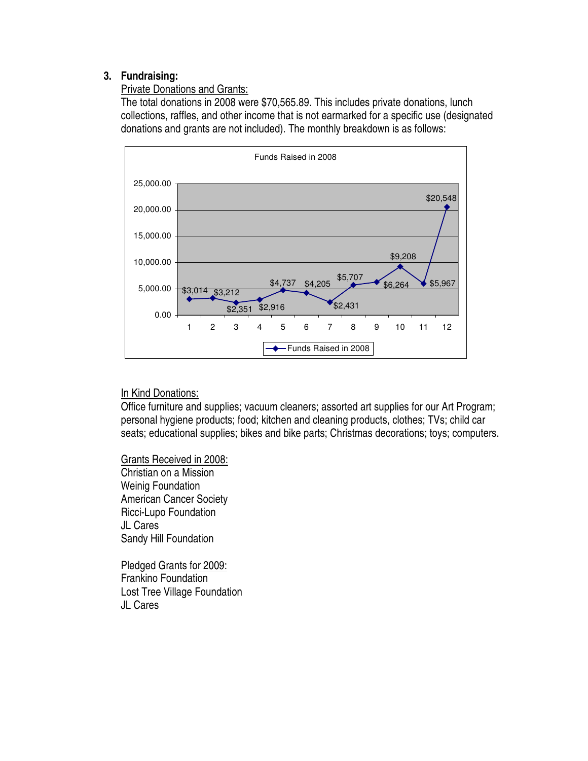## **3. Fundraising:**

Private Donations and Grants:

The total donations in 2008 were \$70,565.89. This includes private donations, lunch collections, raffles, and other income that is not earmarked for a specific use (designated donations and grants are not included). The monthly breakdown is as follows:



#### In Kind Donations:

Office furniture and supplies; vacuum cleaners; assorted art supplies for our Art Program; personal hygiene products; food; kitchen and cleaning products, clothes; TVs; child car seats; educational supplies; bikes and bike parts; Christmas decorations; toys; computers.

#### Grants Received in 2008:

Christian on a Mission Weinig Foundation American Cancer Society Ricci-Lupo Foundation JL Cares Sandy Hill Foundation

Pledged Grants for 2009: Frankino Foundation Lost Tree Village Foundation JL Cares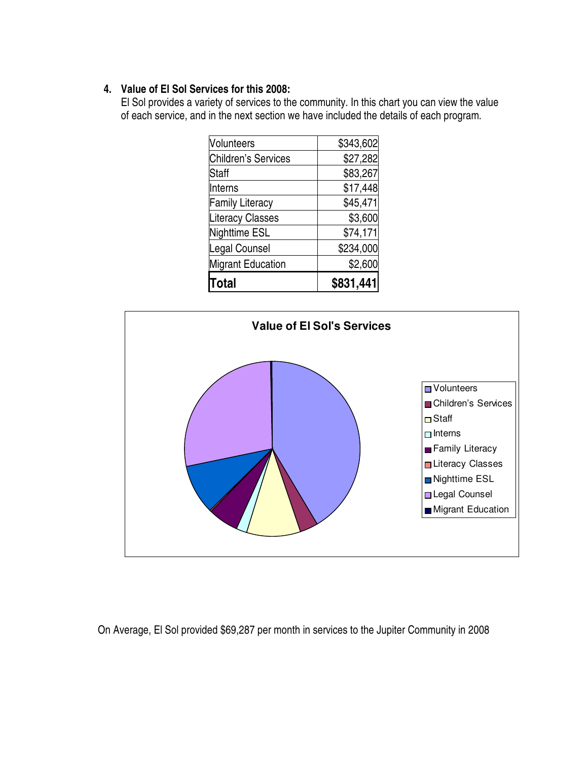## **4. Value of El Sol Services for this 2008:**

El Sol provides a variety of services to the community. In this chart you can view the value of each service, and in the next section we have included the details of each program.

| <b>Volunteers</b>        | \$343,602 |
|--------------------------|-----------|
| Children's Services      | \$27,282  |
| Staff                    | \$83,267  |
| Interns                  | \$17,448  |
| <b>Family Literacy</b>   | \$45,471  |
| <b>Literacy Classes</b>  | \$3,600   |
| Nighttime ESL            | \$74,171  |
| Legal Counsel            | \$234,000 |
| <b>Migrant Education</b> | \$2,600   |
| lTotal                   | \$831,441 |



On Average, El Sol provided \$69,287 per month in services to the Jupiter Community in 2008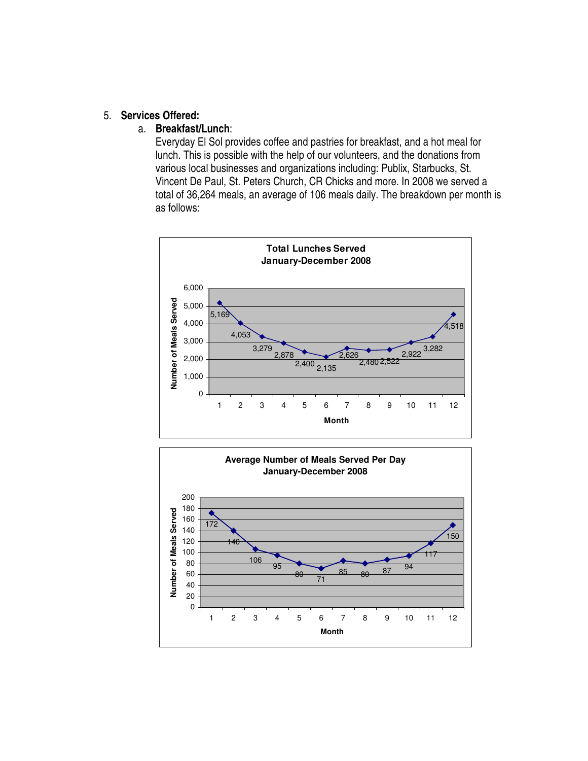#### 5. **Services Offered:**

### a. **Breakfast/Lunch**:

Everyday El Sol provides coffee and pastries for breakfast, and a hot meal for lunch. This is possible with the help of our volunteers, and the donations from various local businesses and organizations including: Publix, Starbucks, St. Vincent De Paul, St. Peters Church, CR Chicks and more. In 2008 we served a total of 36,264 meals, an average of 106 meals daily. The breakdown per month is as follows:



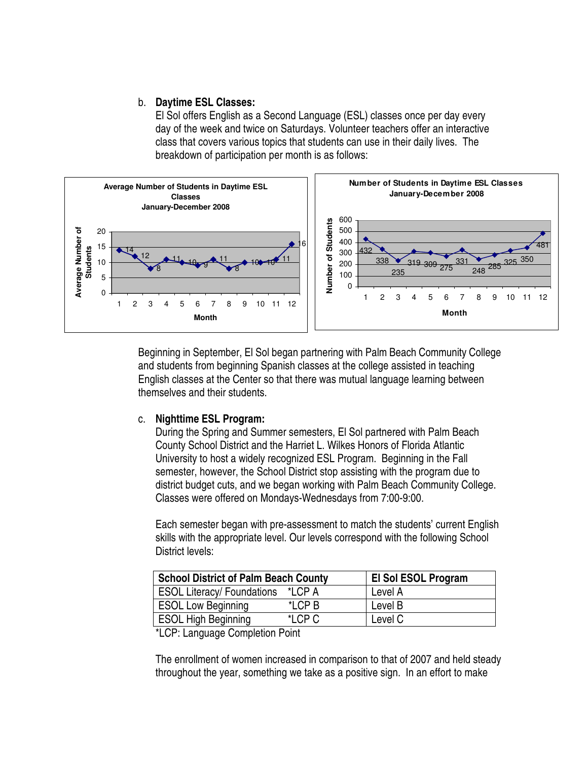#### b. **Daytime ESL Classes:**

El Sol offers English as a Second Language (ESL) classes once per day every day of the week and twice on Saturdays. Volunteer teachers offer an interactive class that covers various topics that students can use in their daily lives. The breakdown of participation per month is as follows:



Beginning in September, El Sol began partnering with Palm Beach Community College and students from beginning Spanish classes at the college assisted in teaching English classes at the Center so that there was mutual language learning between themselves and their students.

## c. **Nighttime ESL Program:**

During the Spring and Summer semesters, El Sol partnered with Palm Beach County School District and the Harriet L. Wilkes Honors of Florida Atlantic University to host a widely recognized ESL Program. Beginning in the Fall semester, however, the School District stop assisting with the program due to district budget cuts, and we began working with Palm Beach Community College. Classes were offered on Mondays-Wednesdays from 7:00-9:00.

Each semester began with pre-assessment to match the students' current English skills with the appropriate level. Our levels correspond with the following School District levels:

| <b>School District of Palm Beach County</b> | <b>El Sol ESOL Program</b> |         |  |
|---------------------------------------------|----------------------------|---------|--|
| <b>ESOL Literacy/ Foundations *LCP A</b>    |                            | Level A |  |
| <b>ESOL Low Beginning</b>                   | $*LCPB$                    | Level B |  |
| <b>ESOL High Beginning</b>                  | $^*$ LCPC                  | Level C |  |

\*LCP: Language Completion Point

The enrollment of women increased in comparison to that of 2007 and held steady throughout the year, something we take as a positive sign. In an effort to make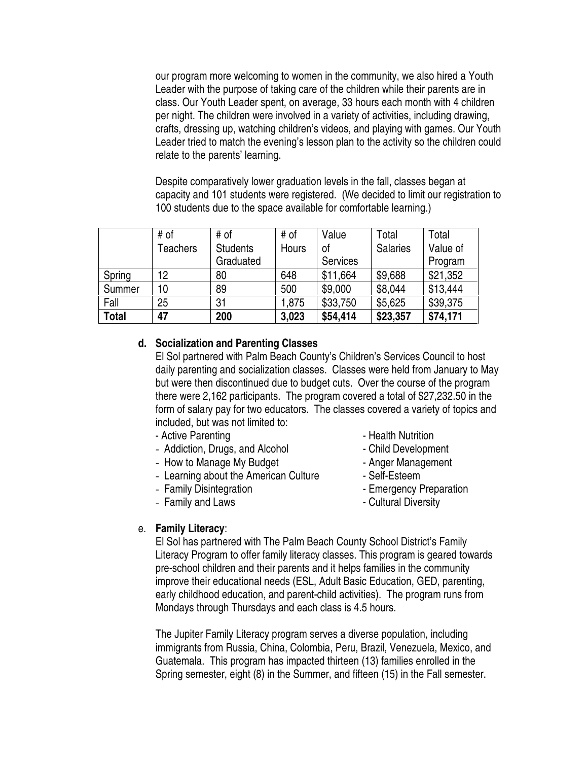our program more welcoming to women in the community, we also hired a Youth Leader with the purpose of taking care of the children while their parents are in class. Our Youth Leader spent, on average, 33 hours each month with 4 children per night. The children were involved in a variety of activities, including drawing, crafts, dressing up, watching children's videos, and playing with games. Our Youth Leader tried to match the evening's lesson plan to the activity so the children could relate to the parents' learning.

Despite comparatively lower graduation levels in the fall, classes began at capacity and 101 students were registered. (We decided to limit our registration to 100 students due to the space available for comfortable learning.)

|              | # of     | # of            | # of  | Value           | Total           | Total    |
|--------------|----------|-----------------|-------|-----------------|-----------------|----------|
|              | Teachers | <b>Students</b> | Hours | Ωt              | <b>Salaries</b> | Value of |
|              |          | Graduated       |       | <b>Services</b> |                 | Program  |
| Spring       | 12       | 80              | 648   | \$11,664        | \$9,688         | \$21,352 |
| Summer       | 10       | 89              | 500   | \$9,000         | \$8,044         | \$13,444 |
| Fall         | 25       | 31              | 1,875 | \$33,750        | \$5,625         | \$39,375 |
| <b>Total</b> | 47       | 200             | 3,023 | \$54,414        | \$23,357        | \$74,171 |

## **d. Socialization and Parenting Classes**

El Sol partnered with Palm Beach County's Children's Services Council to host daily parenting and socialization classes. Classes were held from January to May but were then discontinued due to budget cuts. Over the course of the program there were 2,162 participants. The program covered a total of \$27,232.50 in the form of salary pay for two educators. The classes covered a variety of topics and included, but was not limited to:

- Active Parenting  **Active Parenting Health Nutrition**
- Addiction, Drugs, and Alcohol **Fig. 2018** Child Development
- How to Manage My Budget Anger Management
- Learning about the American Culture Self-Esteem
- Family Disintegration  **Emergency Preparation**
- Family and Laws **Family** and Laws **Family** and Laws
- 
- 
- 
- 
- -

## e. **Family Literacy**:

El Sol has partnered with The Palm Beach County School District's Family Literacy Program to offer family literacy classes. This program is geared towards pre-school children and their parents and it helps families in the community improve their educational needs (ESL, Adult Basic Education, GED, parenting, early childhood education, and parent-child activities). The program runs from Mondays through Thursdays and each class is 4.5 hours.

The Jupiter Family Literacy program serves a diverse population, including immigrants from Russia, China, Colombia, Peru, Brazil, Venezuela, Mexico, and Guatemala. This program has impacted thirteen (13) families enrolled in the Spring semester, eight (8) in the Summer, and fifteen (15) in the Fall semester.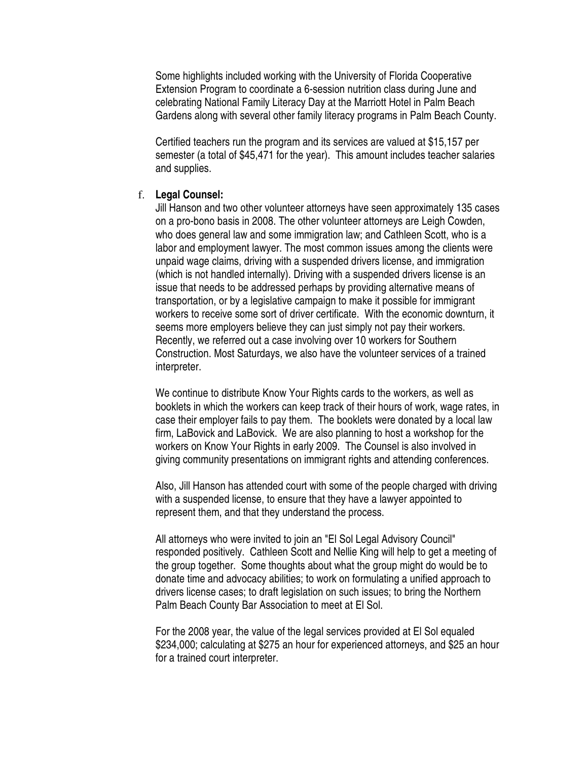Some highlights included working with the University of Florida Cooperative Extension Program to coordinate a 6-session nutrition class during June and celebrating National Family Literacy Day at the Marriott Hotel in Palm Beach Gardens along with several other family literacy programs in Palm Beach County.

Certified teachers run the program and its services are valued at \$15,157 per semester (a total of \$45,471 for the year). This amount includes teacher salaries and supplies.

#### f. **Legal Counsel:**

Jill Hanson and two other volunteer attorneys have seen approximately 135 cases on a pro-bono basis in 2008. The other volunteer attorneys are Leigh Cowden, who does general law and some immigration law; and Cathleen Scott, who is a labor and employment lawyer. The most common issues among the clients were unpaid wage claims, driving with a suspended drivers license, and immigration (which is not handled internally). Driving with a suspended drivers license is an issue that needs to be addressed perhaps by providing alternative means of transportation, or by a legislative campaign to make it possible for immigrant workers to receive some sort of driver certificate. With the economic downturn, it seems more employers believe they can just simply not pay their workers. Recently, we referred out a case involving over 10 workers for Southern Construction. Most Saturdays, we also have the volunteer services of a trained interpreter.

We continue to distribute Know Your Rights cards to the workers, as well as booklets in which the workers can keep track of their hours of work, wage rates, in case their employer fails to pay them. The booklets were donated by a local law firm, LaBovick and LaBovick. We are also planning to host a workshop for the workers on Know Your Rights in early 2009. The Counsel is also involved in giving community presentations on immigrant rights and attending conferences. Ĭ

Also, Jill Hanson has attended court with some of the people charged with driving with a suspended license, to ensure that they have a lawyer appointed to represent them, and that they understand the process.

All attorneys who were invited to join an "El Sol Legal Advisory Council" responded positively. Cathleen Scott and Nellie King will help to get a meeting of the group together. Some thoughts about what the group might do would be to donate time and advocacy abilities; to work on formulating a unified approach to drivers license cases; to draft legislation on such issues; to bring the Northern Palm Beach County Bar Association to meet at El Sol.

For the 2008 year, the value of the legal services provided at El Sol equaled \$234,000; calculating at \$275 an hour for experienced attorneys, and \$25 an hour for a trained court interpreter.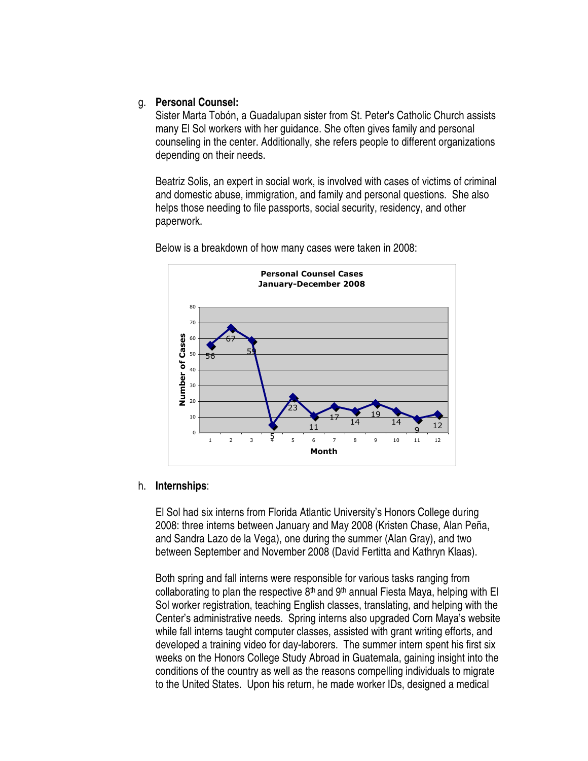#### g. **Personal Counsel:**

Sister Marta Tobón, a Guadalupan sister from St. Peter's Catholic Church assists many El Sol workers with her guidance. She often gives family and personal counseling in the center. Additionally, she refers people to different organizations depending on their needs.

 Beatriz Solis, an expert in social work, is involved with cases of victims of criminal and domestic abuse, immigration, and family and personal questions. She also helps those needing to file passports, social security, residency, and other paperwork.



Below is a breakdown of how many cases were taken in 2008:

#### h. **Internships**:

El Sol had six interns from Florida Atlantic University's Honors College during 2008: three interns between January and May 2008 (Kristen Chase, Alan Peña, and Sandra Lazo de la Vega), one during the summer (Alan Gray), and two between September and November 2008 (David Fertitta and Kathryn Klaas).

 Both spring and fall interns were responsible for various tasks ranging from collaborating to plan the respective  $8<sup>th</sup>$  and  $9<sup>th</sup>$  annual Fiesta Maya, helping with El Sol worker registration, teaching English classes, translating, and helping with the Center's administrative needs. Spring interns also upgraded Corn Maya's website while fall interns taught computer classes, assisted with grant writing efforts, and developed a training video for day-laborers. The summer intern spent his first six weeks on the Honors College Study Abroad in Guatemala, gaining insight into the conditions of the country as well as the reasons compelling individuals to migrate to the United States. Upon his return, he made worker IDs, designed a medical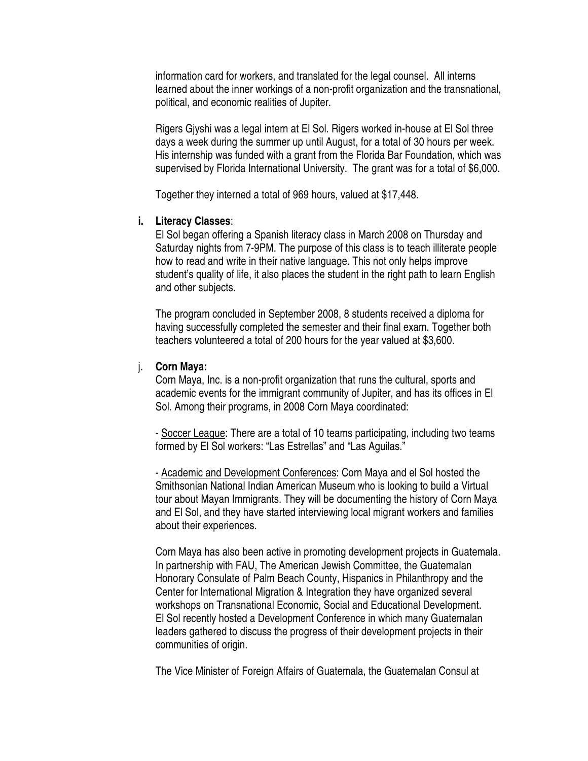information card for workers, and translated for the legal counsel. All interns learned about the inner workings of a non-profit organization and the transnational, political, and economic realities of Jupiter.

Rigers Gjyshi was a legal intern at El Sol. Rigers worked in-house at El Sol three days a week during the summer up until August, for a total of 30 hours per week. His internship was funded with a grant from the Florida Bar Foundation, which was supervised by Florida International University. The grant was for a total of \$6,000.

Together they interned a total of 969 hours, valued at \$17,448.

#### **i. Literacy Classes**:

El Sol began offering a Spanish literacy class in March 2008 on Thursday and Saturday nights from 7-9PM. The purpose of this class is to teach illiterate people how to read and write in their native language. This not only helps improve student's quality of life, it also places the student in the right path to learn English and other subjects.

The program concluded in September 2008, 8 students received a diploma for having successfully completed the semester and their final exam. Together both teachers volunteered a total of 200 hours for the year valued at \$3,600.

#### j. **Corn Maya:**

Corn Maya, Inc. is a non-profit organization that runs the cultural, sports and academic events for the immigrant community of Jupiter, and has its offices in El Sol. Among their programs, in 2008 Corn Maya coordinated:

- Soccer League: There are a total of 10 teams participating, including two teams formed by El Sol workers: "Las Estrellas" and "Las Aguilas."

- Academic and Development Conferences: Corn Maya and el Sol hosted the Smithsonian National Indian American Museum who is looking to build a Virtual tour about Mayan Immigrants. They will be documenting the history of Corn Maya and El Sol, and they have started interviewing local migrant workers and families about their experiences.

Corn Maya has also been active in promoting development projects in Guatemala. In partnership with FAU, The American Jewish Committee, the Guatemalan Honorary Consulate of Palm Beach County, Hispanics in Philanthropy and the Center for International Migration & Integration they have organized several workshops on Transnational Economic, Social and Educational Development. El Sol recently hosted a Development Conference in which many Guatemalan leaders gathered to discuss the progress of their development projects in their communities of origin.

The Vice Minister of Foreign Affairs of Guatemala, the Guatemalan Consul at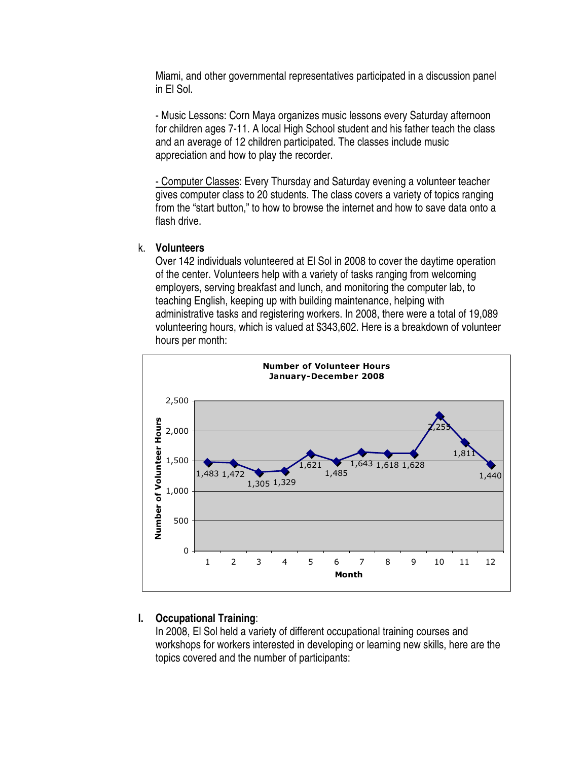Miami, and other governmental representatives participated in a discussion panel in El Sol.

- Music Lessons: Corn Maya organizes music lessons every Saturday afternoon for children ages 7-11. A local High School student and his father teach the class and an average of 12 children participated. The classes include music appreciation and how to play the recorder.

- Computer Classes: Every Thursday and Saturday evening a volunteer teacher gives computer class to 20 students. The class covers a variety of topics ranging from the "start button," to how to browse the internet and how to save data onto a flash drive.

#### k. **Volunteers**

Over 142 individuals volunteered at El Sol in 2008 to cover the daytime operation of the center. Volunteers help with a variety of tasks ranging from welcoming employers, serving breakfast and lunch, and monitoring the computer lab, to teaching English, keeping up with building maintenance, helping with administrative tasks and registering workers. In 2008, there were a total of 19,089 volunteering hours, which is valued at \$343,602. Here is a breakdown of volunteer hours per month:



## **l. Occupational Training**:

In 2008, El Sol held a variety of different occupational training courses and workshops for workers interested in developing or learning new skills, here are the topics covered and the number of participants: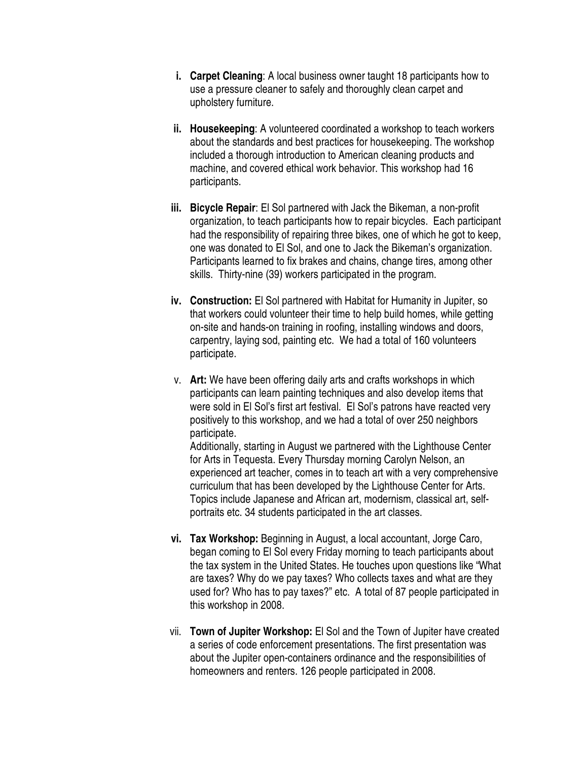- **i. Carpet Cleaning**: A local business owner taught 18 participants how to use a pressure cleaner to safely and thoroughly clean carpet and upholstery furniture.
- **ii. Housekeeping**: A volunteered coordinated a workshop to teach workers about the standards and best practices for housekeeping. The workshop included a thorough introduction to American cleaning products and machine, and covered ethical work behavior. This workshop had 16 participants.
- **iii. Bicycle Repair**: El Sol partnered with Jack the Bikeman, a non-profit organization, to teach participants how to repair bicycles. Each participant had the responsibility of repairing three bikes, one of which he got to keep, one was donated to El Sol, and one to Jack the Bikeman's organization. Participants learned to fix brakes and chains, change tires, among other skills. Thirty-nine (39) workers participated in the program.
- **iv. Construction:** El Sol partnered with Habitat for Humanity in Jupiter, so that workers could volunteer their time to help build homes, while getting on-site and hands-on training in roofing, installing windows and doors, carpentry, laying sod, painting etc. We had a total of 160 volunteers participate.
- v. **Art:** We have been offering daily arts and crafts workshops in which participants can learn painting techniques and also develop items that were sold in El Sol's first art festival. El Sol's patrons have reacted very positively to this workshop, and we had a total of over 250 neighbors participate.

Additionally, starting in August we partnered with the Lighthouse Center for Arts in Tequesta. Every Thursday morning Carolyn Nelson, an experienced art teacher, comes in to teach art with a very comprehensive curriculum that has been developed by the Lighthouse Center for Arts. Topics include Japanese and African art, modernism, classical art, selfportraits etc. 34 students participated in the art classes.

- **vi. Tax Workshop:** Beginning in August, a local accountant, Jorge Caro, began coming to El Sol every Friday morning to teach participants about the tax system in the United States. He touches upon questions like "What are taxes? Why do we pay taxes? Who collects taxes and what are they used for? Who has to pay taxes?" etc. A total of 87 people participated in this workshop in 2008.
- vii. **Town of Jupiter Workshop:** El Sol and the Town of Jupiter have created a series of code enforcement presentations. The first presentation was about the Jupiter open-containers ordinance and the responsibilities of homeowners and renters. 126 people participated in 2008.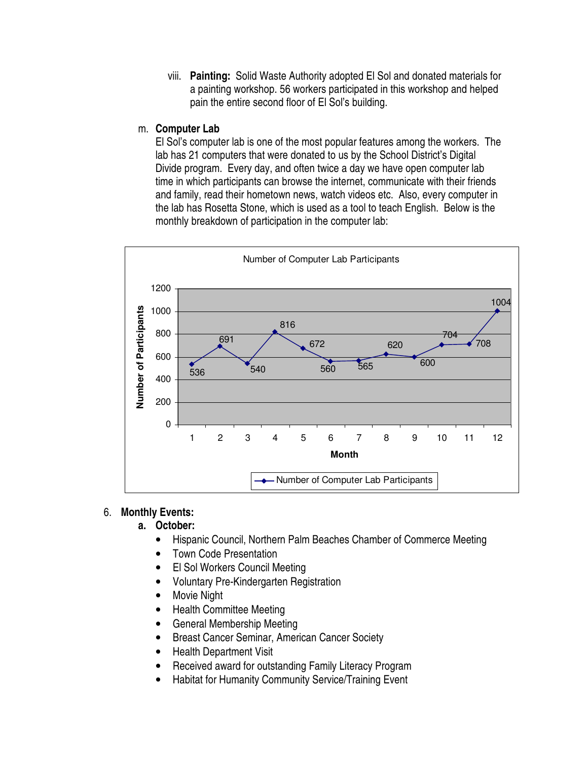viii. **Painting:** Solid Waste Authority adopted El Sol and donated materials for a painting workshop. 56 workers participated in this workshop and helped pain the entire second floor of El Sol's building.

### m. **Computer Lab**

El Sol's computer lab is one of the most popular features among the workers. The lab has 21 computers that were donated to us by the School District's Digital Divide program. Every day, and often twice a day we have open computer lab time in which participants can browse the internet, communicate with their friends and family, read their hometown news, watch videos etc. Also, every computer in the lab has Rosetta Stone, which is used as a tool to teach English. Below is the monthly breakdown of participation in the computer lab:



## 6. **Monthly Events:**

## **a. October:**

- Hispanic Council, Northern Palm Beaches Chamber of Commerce Meeting
- Town Code Presentation
- El Sol Workers Council Meeting
- Voluntary Pre-Kindergarten Registration
- Movie Night
- Health Committee Meeting
- General Membership Meeting
- Breast Cancer Seminar, American Cancer Society
- Health Department Visit
- Received award for outstanding Family Literacy Program
- Habitat for Humanity Community Service/Training Event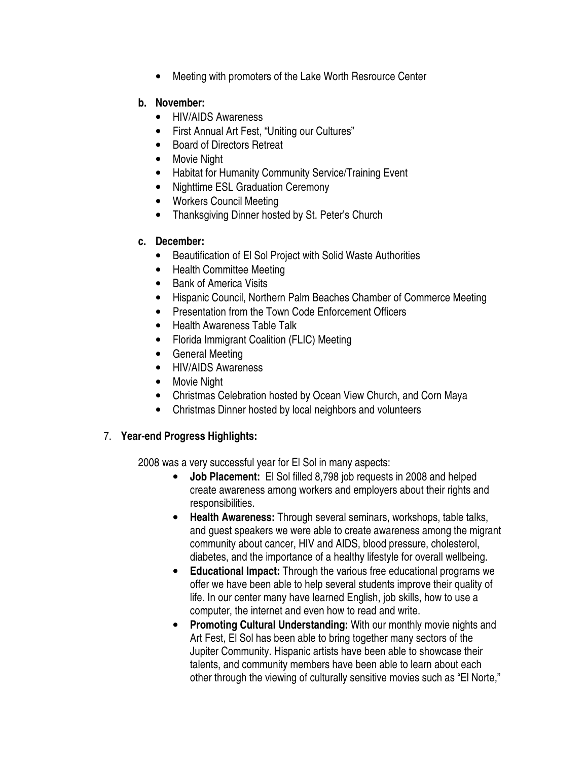• Meeting with promoters of the Lake Worth Resrource Center

# **b. November:**

- HIV/AIDS Awareness
- First Annual Art Fest, "Uniting our Cultures"
- Board of Directors Retreat
- Movie Night
- Habitat for Humanity Community Service/Training Event
- Nighttime ESL Graduation Ceremony
- Workers Council Meeting
- Thanksgiving Dinner hosted by St. Peter's Church

# **c. December:**

- Beautification of El Sol Project with Solid Waste Authorities
- Health Committee Meeting
- Bank of America Visits
- Hispanic Council, Northern Palm Beaches Chamber of Commerce Meeting
- Presentation from the Town Code Enforcement Officers
- Health Awareness Table Talk
- Florida Immigrant Coalition (FLIC) Meeting
- General Meeting
- HIV/AIDS Awareness
- Movie Night
- Christmas Celebration hosted by Ocean View Church, and Corn Maya
- Christmas Dinner hosted by local neighbors and volunteers

## 7. **Year-end Progress Highlights:**

2008 was a very successful year for El Sol in many aspects:

- **Job Placement:** El Sol filled 8,798 job requests in 2008 and helped create awareness among workers and employers about their rights and responsibilities.
- **Health Awareness:** Through several seminars, workshops, table talks, and guest speakers we were able to create awareness among the migrant community about cancer, HIV and AIDS, blood pressure, cholesterol, diabetes, and the importance of a healthy lifestyle for overall wellbeing.
- **Educational Impact:** Through the various free educational programs we offer we have been able to help several students improve their quality of life. In our center many have learned English, job skills, how to use a computer, the internet and even how to read and write.
- **Promoting Cultural Understanding:** With our monthly movie nights and Art Fest, El Sol has been able to bring together many sectors of the Jupiter Community. Hispanic artists have been able to showcase their talents, and community members have been able to learn about each other through the viewing of culturally sensitive movies such as "El Norte,"